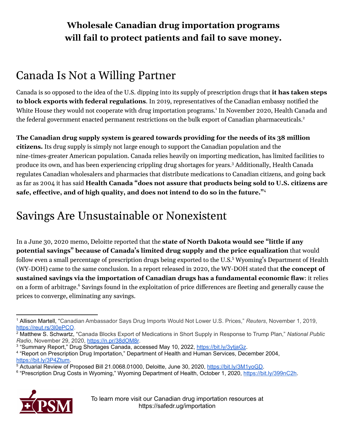### **Wholesale Canadian drug importation programs will fail to protect patients and fail to save money.**

## Canada Is Not a Willing Partner

Canada is so opposed to the idea of the U.S. dipping into its supply of prescription drugs that **it has taken steps to block exports with federal regulations**. In 2019, representatives of the Canadian embassy notified the White House they would not cooperate with drug importation programs. 1 In November 2020, Health Canada and the federal government enacted permanent restrictions on the bulk export of Canadian pharmaceuticals. 2

**The Canadian drug supply system is geared towards providing for the needs of its 38 million citizens.** Its drug supply is simply not large enough to support the Canadian population and the nine-times-greater American population. Canada relies heavily on importing medication, has limited facilities to produce its own, and has been experiencing crippling drug shortages for years. <sup>3</sup> Additionally, Health Canada regulates Canadian wholesalers and pharmacies that distribute medications to Canadian citizens, and going back as far as 2004 it has said **Health Canada "does not assure that products being sold to U.S. citizens are safe, effective, and of high quality, and does not intend to do so in the future."** 4

# Savings Are Unsustainable or Nonexistent

In a June 30, 2020 memo, Deloitte reported that the **state of North Dakota would see "little if any potential savings" because of Canada's limited drug supply and the price equalization** that would follow even a small percentage of prescription drugs being exported to the U.S. <sup>5</sup> Wyoming's Department of Health (WY-DOH) came to the same conclusion. In a report released in 2020, the WY-DOH stated that **the concept of sustained savings via the importation of Canadian drugs has a fundamental economic flaw**: it relies on a form of arbitrage. <sup>6</sup> Savings found in the exploitation of price differences are fleeting and generally cause the prices to converge, eliminating any savings.

<sup>&</sup>lt;sup>6</sup> "Prescription Drug Costs in Wyoming," Wyoming Department of Health, October 1, 2020, [https://bit.ly/399nC2h.](https://bit.ly/399nC2h)



To learn more visit our Canadian drug importation resources at https://safedr.ug/importation

<sup>1</sup> Allison Martell, "Canadian Ambassador Says Drug Imports Would Not Lower U.S. Prices," *Reuters*, November 1, 2019, <https://reut.rs/3l0ePCO>.

<sup>2</sup> Matthew S. Schwartz, "Canada Blocks Export of Medications in Short Supply in Response to Trump Plan," *National Public Radio*, November 29, 2020, <https://n.pr/38dOM8r>.

<sup>&</sup>lt;sup>3</sup> "Summary Report," Drug Shortages Canada, accessed May 10, 2022, <https://bit.ly/3ytjaGz>.

<sup>4</sup> "Report on Prescription Drug Importation," Department of Health and Human Services, December 2004, [https://bit.ly/3P4Ztum.](https://bit.ly/3P4Ztum)

<sup>5</sup> Actuarial Review of Proposed Bill 21.0068.01000, Deloitte, June 30, 2020, [https://bit.ly/3M1yoGD.](https://bit.ly/3M1yoGD)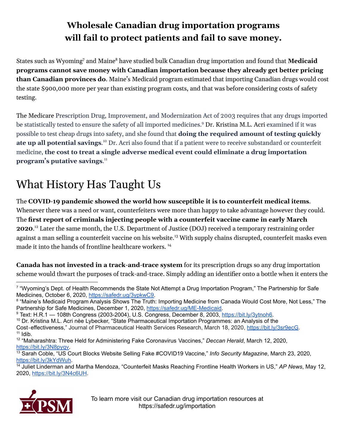## **Wholesale Canadian drug importation programs will fail to protect patients and fail to save money.**

States such as Wyoming <sup>7</sup> and Maine <sup>8</sup> have studied bulk Canadian drug importation and found that **Medicaid programs cannot save money with Canadian importation because they already get better pricing than Canadian provinces do**. Maine's Medicaid program estimated that importing Canadian drugs would cost the state \$900,000 more per year than existing program costs, and that was before considering costs of safety testing.

The Medicare Prescription Drug, Improvement, and Modernization Act of 2003 requires that any drugs imported be statistically tested to ensure the safety of all imported medicines. <sup>9</sup> Dr. Kristina M.L. Acri examined if it was possible to test cheap drugs into safety, and she found that **doing the required amount of testing quickly ate up all potential savings**. <sup>10</sup> Dr. Acri also found that if a patient were to receive substandard or counterfeit medicine, **the cost to treat a single adverse medical event could eliminate a drug importation program's putative savings**. 11

# What History Has Taught Us

The **COVID-19 pandemic showed the world how susceptible it is to counterfeit medical items**. Whenever there was a need or want, counterfeiters were more than happy to take advantage however they could. The **first report of criminals injecting people with a counterfeit vaccine came in early March 2020**. <sup>12</sup> Later the same month, the U.S. Department of Justice (DOJ) received a temporary restraining order against a man selling a counterfeit vaccine on his website. <sup>13</sup> With supply chains disrupted, counterfeit masks even made it into the hands of frontline healthcare workers. 14

**Canada has not invested in a track-and-trace system** for its prescription drugs so any drug importation scheme would thwart the purposes of track-and-trace. Simply adding an identifier onto a bottle when it enters the

<sup>14</sup> Juliet Linderman and Martha Mendoza, "Counterfeit Masks Reaching Frontline Health Workers in US," *AP News*, May 12, 2020, <https://bit.ly/3N4c6UH>.



<sup>7</sup> "Wyoming's Dept. of Health Recommends the State Not Attempt a Drug Importation Program," The Partnership for Safe Medicines, October 6, 2020, [https://safedr.ug/3ypkwC9.](https://safedr.ug/3ypkwC9)

<sup>8</sup> "Maine's Medicaid Program Analysis Shows The Truth: Importing Medicine from Canada Would Cost More, Not Less," The Partnership for Safe Medicines, December 1, 2020, <https://safedr.ug/ME-Medicaid>.

<sup>&</sup>lt;sup>9</sup> Text: H.R.1 — 108th Congress (2003-2004), U.S. Congress, December 8, 2003, [https://bit.ly/3ytnoh6.](https://bit.ly/3ytnoh6)

 $11$  Idib. <sup>10</sup> Dr. Kristina M.L. Acri nèe Lybecker, "State Pharmaceutical Importation Programmes: an Analysis of the Cost-effectiveness," Journal of Pharmaceutical Health Services Research, March 18, 2020, [https://bit.ly/3sr9ecG.](https://bit.ly/3sr9ecG)

<sup>12</sup> "Maharashtra: Three Held for Administering Fake Coronavirus Vaccines," *Deccan Herald*, March 12, 2020, [https://bit.ly/3N8pyqv.](https://bit.ly/3N8pyqv)

<sup>13</sup> Sarah Coble, "US Court Blocks Website Selling Fake #COVID19 Vaccine," *Info Security Magazine*, March 23, 2020, <https://bit.ly/3kYdWuh>.